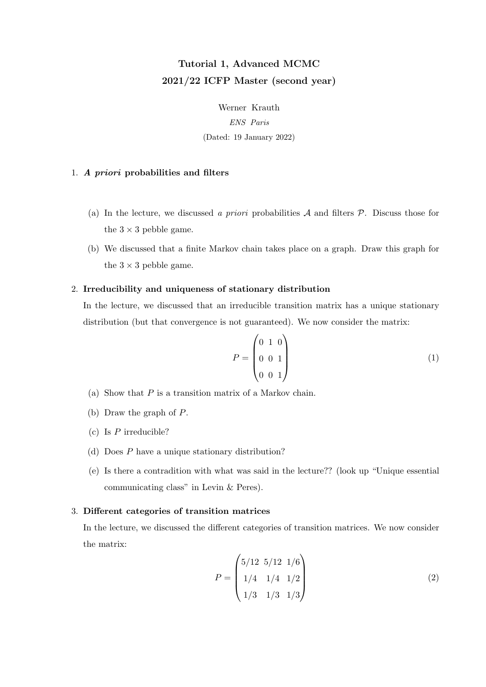# Tutorial 1, Advanced MCMC 2021/22 ICFP Master (second year)

Werner Krauth ENS Paris (Dated: 19 January 2022)

### 1. A priori probabilities and filters

- (a) In the lecture, we discussed a priori probabilities  $A$  and filters  $P$ . Discuss those for the  $3 \times 3$  pebble game.
- (b) We discussed that a finite Markov chain takes place on a graph. Draw this graph for the  $3 \times 3$  pebble game.

## 2. Irreducibility and uniqueness of stationary distribution

In the lecture, we discussed that an irreducible transition matrix has a unique stationary distribution (but that convergence is not guaranteed). We now consider the matrix:

$$
P = \begin{pmatrix} 0 & 1 & 0 \\ 0 & 0 & 1 \\ 0 & 0 & 1 \end{pmatrix}
$$
 (1)

- (a) Show that  $P$  is a transition matrix of a Markov chain.
- (b) Draw the graph of P.
- (c) Is  $P$  irreducible?
- (d) Does P have a unique stationary distribution?
- (e) Is there a contradition with what was said in the lecture?? (look up "Unique essential communicating class" in Levin & Peres).

## 3. Different categories of transition matrices

In the lecture, we discussed the different categories of transition matrices. We now consider the matrix:

$$
P = \begin{pmatrix} 5/12 & 5/12 & 1/6 \\ 1/4 & 1/4 & 1/2 \\ 1/3 & 1/3 & 1/3 \end{pmatrix}
$$
 (2)